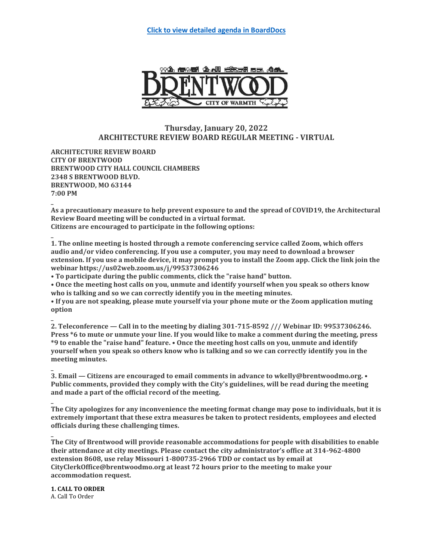

# **Thursday, January 20, 2022 ARCHITECTURE REVIEW BOARD REGULAR MEETING - VIRTUAL**

**ARCHITECTURE REVIEW BOARD CITY OF BRENTWOOD BRENTWOOD CITY HALL COUNCIL CHAMBERS 2348 S BRENTWOOD BLVD. BRENTWOOD, MO 63144 7:00 PM**

**\_ As a precautionary measure to help prevent exposure to and the spread of COVID19, the Architectural Review Board meeting will be conducted in a virtual format. Citizens are encouraged to participate in the following options:**

**\_ 1. The online meeting is hosted through a remote conferencing service called Zoom, which offers audio and/or video conferencing. If you use a computer, you may need to download a browser extension. If you use a mobile device, it may prompt you to install the Zoom app. Click the link join the webinar https://us02web.zoom.us/j/99537306246**

**• To participate during the public comments, click the "raise hand" button.**

**• Once the meeting host calls on you, unmute and identify yourself when you speak so others know who is talking and so we can correctly identify you in the meeting minutes.**

**• If you are not speaking, please mute yourself via your phone mute or the Zoom application muting option**

**\_ 2. Teleconference — Call in to the meeting by dialing 301-715-8592 /// Webinar ID: 99537306246. Press \*6 to mute or unmute your line. If you would like to make a comment during the meeting, press \*9 to enable the "raise hand" feature. • Once the meeting host calls on you, unmute and identify yourself when you speak so others know who is talking and so we can correctly identify you in the meeting minutes.**

**3. Email — Citizens are encouraged to email comments in advance to wkelly@brentwoodmo.org. • Public comments, provided they comply with the City's guidelines, will be read during the meeting and made a part of the official record of the meeting.**

**\_ The City apologizes for any inconvenience the meeting format change may pose to individuals, but it is extremely important that these extra measures be taken to protect residents, employees and elected officials during these challenging times.**

**\_ The City of Brentwood will provide reasonable accommodations for people with disabilities to enable their attendance at city meetings. Please contact the city administrator's office at 314-962-4800 extension 8608, use relay Missouri 1-800735-2966 TDD or contact us by email at CityClerkOffice@brentwoodmo.org at least 72 hours prior to the meeting to make your accommodation request.**

**1. CALL TO ORDER** A. Call To Order

**\_**